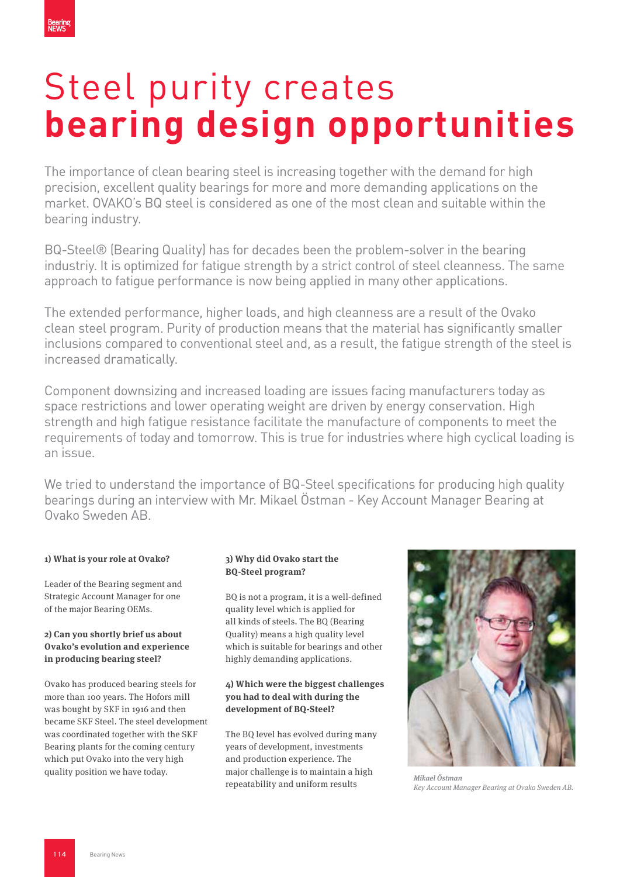# Steel purity creates **bearing design opportunities**

The importance of clean bearing steel is increasing together with the demand for high precision, excellent quality bearings for more and more demanding applications on the market. OVAKO's BQ steel is considered as one of the most clean and suitable within the bearing industry.

BQ-Steel® (Bearing Quality) has for decades been the problem-solver in the bearing industriy. It is optimized for fatigue strength by a strict control of steel cleanness. The same approach to fatigue performance is now being applied in many other applications.

The extended performance, higher loads, and high cleanness are a result of the Ovako clean steel program. Purity of production means that the material has significantly smaller inclusions compared to conventional steel and, as a result, the fatigue strength of the steel is increased dramatically.

Component downsizing and increased loading are issues facing manufacturers today as space restrictions and lower operating weight are driven by energy conservation. High strength and high fatigue resistance facilitate the manufacture of components to meet the requirements of today and tomorrow. This is true for industries where high cyclical loading is an issue.

We tried to understand the importance of BQ-Steel specifications for producing high quality bearings during an interview with Mr. Mikael Östman - Key Account Manager Bearing at Ovako Sweden AB.

# **1) What is your role at Ovako?**

Leader of the Bearing segment and Strategic Account Manager for one of the major Bearing OEMs.

#### **2) Can you shortly brief us about Ovako's evolution and experience in producing bearing steel?**

Ovako has produced bearing steels for more than 100 years. The Hofors mill was bought by SKF in 1916 and then became SKF Steel. The steel development was coordinated together with the SKF Bearing plants for the coming century which put Ovako into the very high quality position we have today.

# **3) Why did Ovako start the BQ-Steel program?**

BQ is not a program, it is a well-defined quality level which is applied for all kinds of steels. The BQ (Bearing Quality) means a high quality level which is suitable for bearings and other highly demanding applications.

#### **4) Which were the biggest challenges you had to deal with during the development of BQ-Steel?**

The BQ level has evolved during many years of development, investments and production experience. The major challenge is to maintain a high repeatability and uniform results



Mikael Östman Key Account Manager Bearing at Ovako Sweden AB.